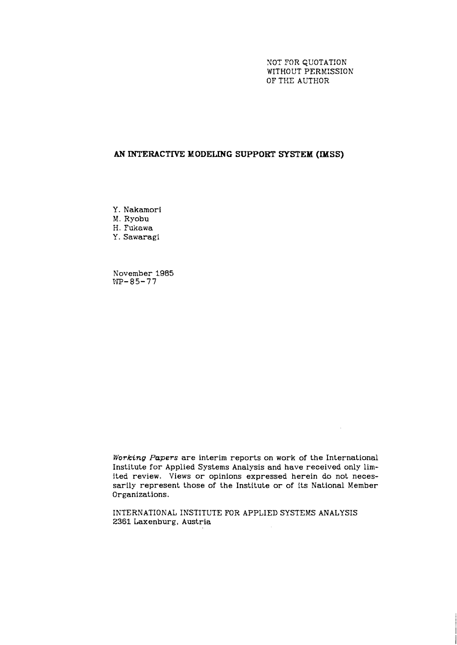NOT YOR QUOTATION WITHOUT PERMISSION OF THE AUTHOR

 $\sim 10$ 

# **AN INTERACTTVE; MODELING SUPPORT SYSTEM (MSS)**

Y. Nakamori M. Ryobu

H. Fukawa

Y. Sawaragi

November **1985**  *I3P-85-77* 

**Working** *Papers* are interim reports on work of the International Institute for Applied Systems Analysis and have received only limited review. Views or opinions expressed herein do not necessarily represent those of the Institute or of its National Member Organizations.

IKTERNATIONAL INSTITUTE FOR APPLIED SYSTEMS ANALYSIS 2361 Laxenburg, Austria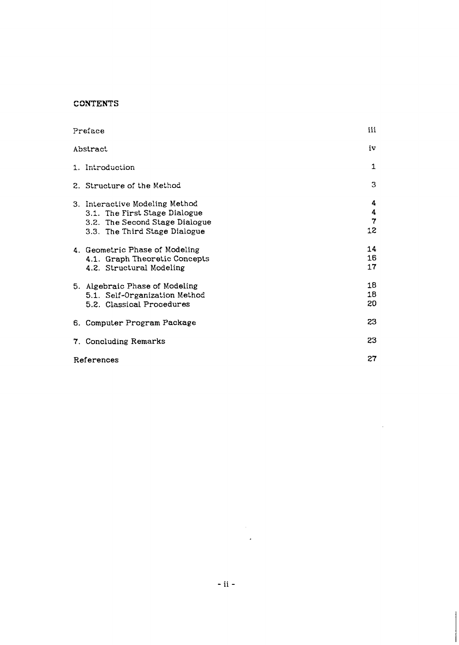# **CONTENTS**

| Preface  |                                                                                                                                    |                   |  |  |
|----------|------------------------------------------------------------------------------------------------------------------------------------|-------------------|--|--|
| Abstract |                                                                                                                                    |                   |  |  |
|          | 1. Introduction                                                                                                                    | 1                 |  |  |
|          | 2. Structure of the Method                                                                                                         | 3                 |  |  |
|          | 3. Interactive Modeling Method<br>3.1. The First Stage Dialogue<br>3.2. The Second Stage Dialogue<br>3.3. The Third Stage Dialogue | 4<br>4<br>7<br>12 |  |  |
|          | 4. Geometric Phase of Modeling<br>4.1. Graph Theoretic Concepts<br>4.2. Structural Modeling                                        | 14<br>16<br>17    |  |  |
|          | 5. Algebraic Phase of Modeling<br>5.1. Self-Organization Method<br>5.2. Classical Procedures                                       | 18<br>18<br>20    |  |  |
|          | 6. Computer Program Package                                                                                                        | 23                |  |  |
|          | 23<br>7. Concluding Remarks                                                                                                        |                   |  |  |
|          | 27<br>References                                                                                                                   |                   |  |  |

 $\mathcal{L}^{\text{max}}_{\text{max}}$  and  $\mathcal{L}^{\text{max}}_{\text{max}}$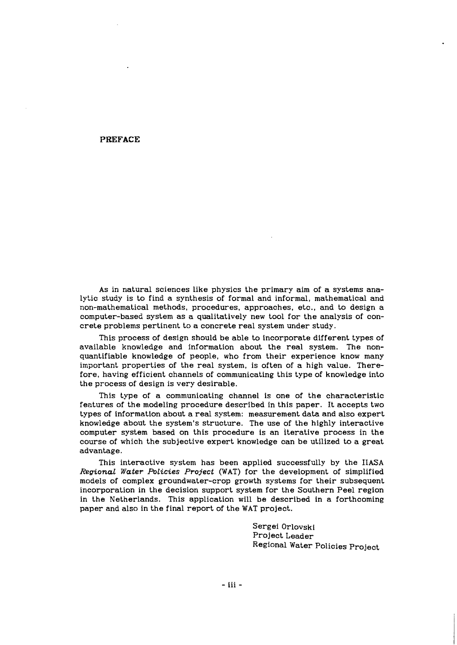**PREFACE** 

As in natural sciences like physics the primary aim of a systems analytic study is to find a synthesis of formal and informal, mathematical and non-mathematical methods, procedures, approaches, etc., and to design a computer-based system as a qualitatively new tool for the analysis of concrete problems pertinent to a concrete real system under study.

This process of design should be able to incorporate different types of available knowledge and information about the real system. The nonquantifiable knowledge of people, who from their experience know many important properties of the real system, is often of a high value. Therefore, having efficient channels of communicating this type of knowledge into the process of design is very desirable.

This type of a communicating channel is one of the characteristic features of the modeling procedure described in this paper. It accepts two types of information about a real system: measurement data and also expert knowledge about the system's structure. The use of the highly interactive computer system based on this procedure is an iterative process in the course of which the subjective expert knowledge can be utilized to a great advantage.

This interactive system has been applied successfully by the IIASA *Regional Water Policies Project* (WAT) for the development of simplified models of complex groundwater-crop growth systems for their subsequent incorporation in the decision support system for the Southern Peel region in the Netherlands. This application will be described in a forthcoming paper and also in the final report of the WAT project.

> Sergei Orlovski Project Leader Regional Water Policies Project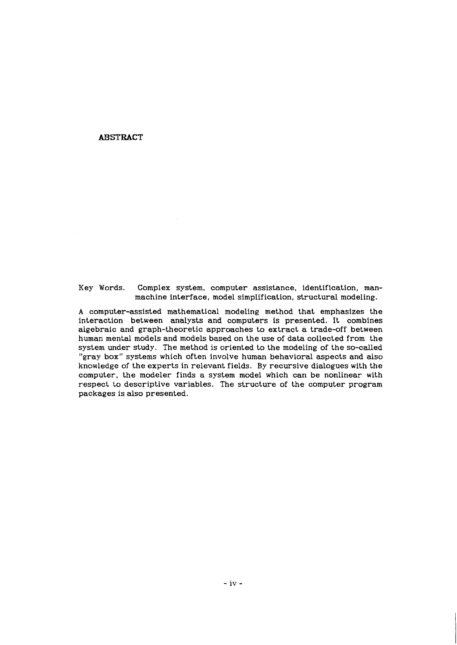# **ABSTRACT**

Key Words. Complex system, computer assistance, identification, manmachine interface, model simplification, structural modeling.

**A** computer-assisted mathematical modeling method that emphasizes the interaction between analysts and computers is presented. It combines algebraic and graph-theoretic approaches to extract a trade-off between human mental models and models based on the use of data collected from the system under study. The method is oriented to the modeling of the so-called "gray box" systems which often involve human behavioral aspects and also knowledge of the experts in relevant fields. By recursive dialogues with the computer, the modeler finds a system model which can be nonlinear with respect to descriptive variables. The structure of the computer program packages is also presented.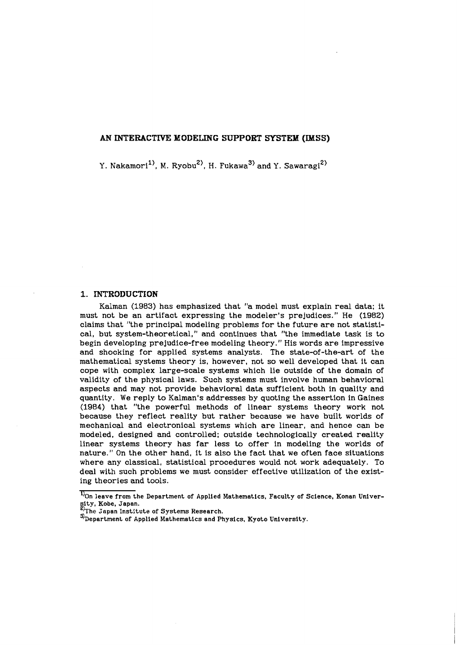# **AN INTERACTIVE MODELING SUPPORT SYSTEM (KMSS)**

Y. Nakamori<sup>1)</sup>, M. Ryobu<sup>2)</sup>, H. Fukawa<sup>3)</sup> and Y. Sawaragi<sup>2)</sup>

# **1. INTRODUCTION**

Kalman (1983) has emphasized that "a model must explain real data; it must not be an artifact expressing the modeler's prejudices." He (1982) claims that "the principal modeling problems for the future are not statistical, but system-theoretical," and continues that "the immediate task is to begin developing prejudice-free modeling theory." His words are impressive and shocking for applied systems analysts. The state-of-the-art of the mathematical systems theory is, however, not so well developed that it can cope with complex large-scale systems which lie outside of the domain of validity of the physical laws. Such systems must involve human behavioral aspects and may not provide behavioral data sufficient both in quality and quantity. We reply to Kalman's addresses by quoting the assertion in Gaines (1984) that "the powerful methods of linear systems theory work not because they reflect reality but rather because we have built worlds of mechanical and electronical systems which are linear, and hence can be modeled, designed and controlled; outside technologically created reality linear systems theory has far less to offer in modeling the worlds of nature." On the other hand, it is also the fact that we often face situations where any classical, statistical procedures would not work adequately. To deal with such problems we must consider effective utilization of the existing theories and tools.

<sup>&</sup>lt;sup>1</sup>On leave from the Department of Applied Mathematics, Faculty of Science, Konan Univer**sity, Kobe, Japan. he Sapan Institute of Systems Research.** 

 $\mathcal{R}$  Department of Applied Mathematics and Physics, Kyoto University.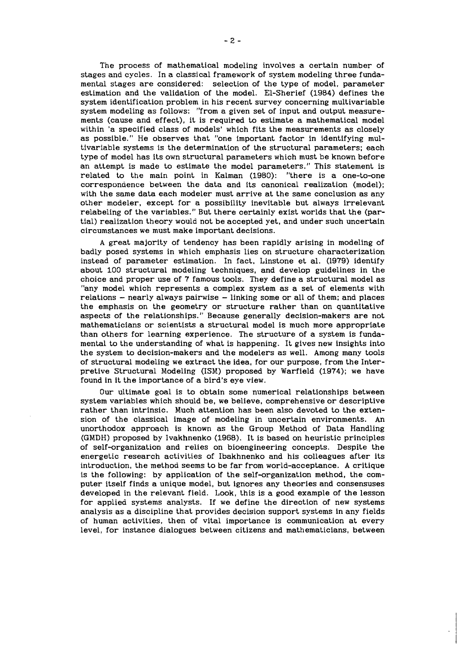The process of mathematical modeling involves a certain number of stages and cycles. In a classical framework of system modeling three fundamental stages are considered: selection of the type of model, parameter estimation and the validation of the model. El-Sherief (1984) defines the system identification problem in his recent survey concerning multivariable system modeling as follows: "from a given set of input and output measurements (cause and effect), it is required to estimate a mathematical model within 'a specified class of models' which fits the measurements as closely as possible." He observes that "one important factor in identifying multivariable systems is the determination of the structural parameters; each type of model has its own structural parameters which must be known before an attempt is made to estimate the model parameters." This statement is related to the main point in Kalman (1980): "there is a one-to-one correspondence between the data and its canonical realization (model); with the same data each modeler must arrive at the same conclusion as any other modeler, except for a possibility inevitable but always irrelevant relabeling of the variables." But there certainly exist worlds that the (partial) reaiization theory would not be accepted yet, and under such uncertain circumstances we must make important decisions.

A great majority of tendency has been rapidly arising in modeling of badly posed systems in which emphasis lies on structure characterization instead of parameter estimation. In fact, Linstone et al. (1979) identify about 100 structural modeling techniques, and develop guidelines in the choice and proper use of 7 famous tools. They define a structural model as "any model which represents a complex system as a set of elements with  $relations - nearly always pairwise - linking some or all of them; and places$ the emphasis on the geometry or structure rather than on quantitative aspects of the relationships." Because generally decision-makers are not mathematicians or scientists a structural model is much more appropriate than others for learning experience. The structure of a system is fundamental to the understanding of what is happening. It gives new insights into the system to decision-makers and the modelers as well. Among many tools of structural modeling we extract the idea, for our purpose, from the Interpretive Structural Modeling (ISM) proposed by Warfield (1974); we have found in it the importance of a bird's eye view.

Our ultimate goal is to obtain some numerical relationships between system variables which should be, we believe, comprehensive or descriptive rather than intrinsic. Much attention has been also devoted to the extension of the classical image of modeling in uncertain environments. An unorthodox approach is known as the Group Method of Data Handling (GMDH) proposed by Ivakhnenko (1968). It is based on heuristic principles of self-organization and relies on bioengineering concepts. Despite the energetic research activities of Ibakhnenko and his colleagues after its introduction, the method seems to be far from world-acceptance. **A** critique is the following: by application of the self-organization method, the computer itself finds a unique model, but ignores any theories and consensuses developed in the relevant field. Look, this is a good example of the lesson for applied systems analysts. If we define the direction of new systems analysis as a discipline that provides decision support systems in any fields of human activities, then of vital importance is communication at every level, for instance dialogues between citizens and mathematicians, between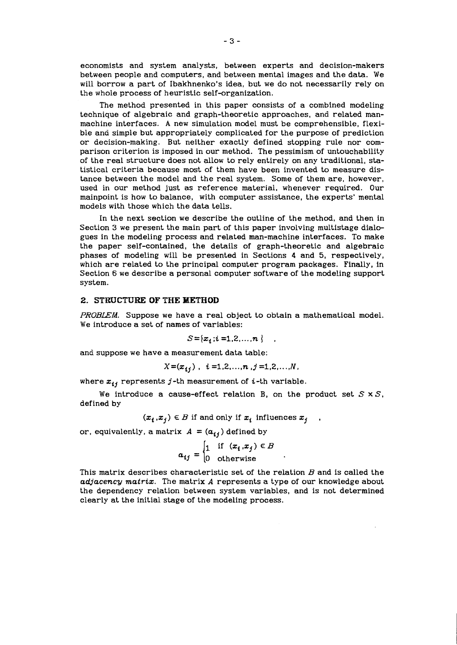economists and system analysts, between experts and decision-makers between people and computers, and between mental images and the data. We will borrow a part of Ibakhnenko's idea, but we do not necessarily rely on the whole process of heuristic self-organization.

The method presented in this paper consists of a combined modeling technique of algebraic and graph-theoretic approaches, and related manmachine interfaces. **A** new simulation model must be comprehensible, flexible and simple but appropriately complicated for the purpose of prediction or decision-making. But neither exactly defined stopping rule nor comparison criterion is imposed in our method. The pessimism of untouchability of the real structure does not allow to rely entirely on any traditional, statistical criteria because most of them have been invented to measure distance between the model and the real system. Some of them are, however, used in our method just as reference material, whenever required. Our mainpoint is how to balance, with computer assistance, the experts' mental models with those which the data tells.

In the next section we describe the outline of the method, and then in Section 3 we present the main part of this paper involving multistage dialogues in the modeling process and related man-machine interfaces. To make the paper self-contained, the details of graph-theoretic and algebraic phases of modeling will be presented in Sections 4 and 5, respectively, which are related to the principal computer program packages. Finally, in Section 6 we describe a personal computer software of the modeling support system.

# **2. STRUCTURE OF THE METHOD**

**PROBLEM.** Suppose we have a real object to obtain a mathematical model. We introduce a set of names of variables:

$$
S = \{x_i : i = 1, 2, ..., n\}
$$

and suppose we have a measurement data table:

$$
X = (x_{i,j}) \ , \ i = 1,2,...,n \ , j = 1,2,...,N \ ,
$$

where  $x_{ij}$  represents  $j$ -th measurement of  $i$ -th variable.

We introduce a cause-effect relation B, on the product set  $S \times S$ , defined by

$$
(x_i, x_j) \in B \text{ if and only if } x_i \text{ influences } x_j \quad .
$$

or, equivalently, a matrix  $A = (a_{ij})$  defined by

$$
a_{ij} = \begin{cases} 1 & \text{if } (x_i, x_j) \in B \\ 0 & \text{otherwise} \end{cases}
$$

This matrix describes characteristic set of the relation  $B$  and is called the *adjacency matriz.* The matrix *A* represents a type of our knowledge about the dependency relation between system variables, and is not determined clearly at the initial stage of the modeling process.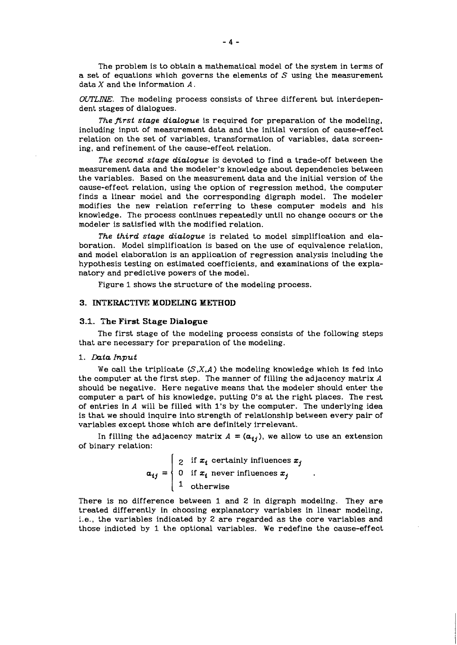The problem is to obtain a mathematical model of the system in terms of a set of equations which governs the elements of *S* using the measurement data *X* and the information *A.* 

*OUTLING.* The modeling process consists of three different but interdependent stages of dialogues.

*The first stage dialogue* is required for preparation of the modeling, including input of measurement data and the initial version of cause-effect relation on the set of variables, transformation of variables, data screening, and refinement of the cause-effect relation.

*The second stage dialogue* is devoted to find a trade-off between the measurement data and the modeler's knowledge about dependencies between the variables. Based on the measurement data and the initial version of the cause-effect relation, using the option of regression method, the computer finds a linear model and the corresponding digraph model. The modeler modifies the new relation referring to these computer models and his knowledge. The process continues repeatedly until no change occurs or the modeler is satisfied with the modified relation.

*The third stage dialogue* is related to model simplification and elaboration. Model simplification is based on the use of equivalence relation, and model elaboration is an application of regression analysis including the hypothesis testing on estimated coefficients, and examinations of the explanatory and predictive powers of the model.

Figure 1 shows the structure of the modeling process.

#### **3. INTERACTIVE MODELING METHOD**

#### **3.1. The First Stage Dialogue**

The first stage of the modeling process consists of the following steps that are necessary for preparation of the modeling.

# 1. Data *Input*

We call the triplicate *(S.X,A)* the modeling knowledge which is fed into the computer at the first step. The manner of filling the adjacency matrix *A*  should be negative. Here negative means that the modeler should enter the computer a part of his knowledge, putting 0's at the right places. The rest of entries in *A* will be filled with 1's by the computer. The underlying idea is that we should inquire into strength of relationship between every pair of variables except those which are definitely irrelevant.

In filling the adjacency matrix  $A = (a_{ij})$ , we allow to use an extension of binary relation:

> $\mid$  2 if  $x_i$  certainly influences  $x_j$  $a_{ij} = \begin{cases} 0 & \text{if } x_i \text{ never influences } x_j \end{cases}$  $1$  otherwise

There is no difference between 1 and 2 in digraph modeling. They are treated differently in choosing explanatory variables in linear modeling, i.e., the variables indicated by 2 are regarded as the core variables and those indicted by 1 the optional variables. We redefine the cause-effect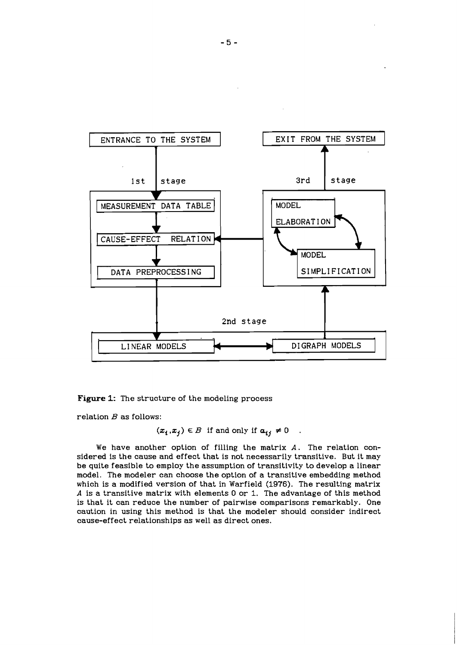

**Figure** 1: The structure of the modeling process

relation  $B$  as follows:

$$
(x_i, x_j) \in B
$$
 if and only if  $a_{ij} \neq 0$ 

We have another option of filling the matrix *A.* The relation considered is the cause and effect that is not necessarily transitive. But it may be quite feasible to employ the assumption of transitivity to develop a linear model. The modeler can choose the option of a transitive embedding method which is a modified version of that in Warfield **(1976).** The resulting matrix *A* is a transitive matrix with elements 0 or **1.** The advantage of this method is that it can reduce the number of pairwise comparisons remarkably. One caution in using this method is that the modeler should consider indirect cause-effect relationships as well as direct ones.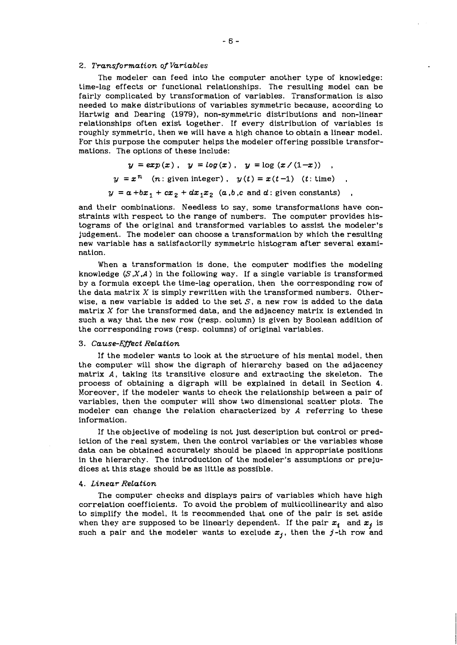#### 2. Transformation of Variables

The modeler can feed into the computer another type of knowledge: time-lag effects or functional relationships. The resulting model can be fairly complicated by transformation of variables. Transformation is also needed to make distributions of variables symmetric because, according to Hartwig and Dearing (1979), non-symmetric distributions and non-linear relationships often exist together. If every distribution of variables is roughly symmetric, then we will have a high chance to obtain a linear model. For this purpose the computer helps the modeler offering possible transformations. The options of these include:

$$
y = exp(x), \quad y = log(x), \quad y = log(x/(1-x))
$$
  

$$
y = x^{n} \quad (n: given integer), \quad y(t) = x(t-1) \quad (t: time)
$$
  

$$
y = a + bx_{1} + cx_{2} + dx_{1}x_{2} \quad (a, b, c \text{ and } d: given constants)
$$

and their combinations. Needless to say, some transformations have constraints with respect to the range of numbers. The computer provides histograms of the original and transformed variables to assist the modeler's judgement. The modeler can choose a transformation by which the resulting new variable has a satisfactorily symmetric histogram after several examination.

When a transformation is done, the computer modifies the modeling knowledge  $(S, X, A)$  in the following way. If a single variable is transformed by a formula except the time-lag operation, then the corresponding row of the data matrix  $X$  is simply rewritten with the transformed numbers. Otherwise, a new variable is added to the set  $S$ , a new row is added to the data matrix  $X$  for the transformed data, and the adjacency matrix is extended in such a way that the new row (resp. column) is given by Boolean addition of the corresponding rows (resp. columns) of original variables.

#### 3. Cause-Effect Relation

If the modeler wants to look at the structure of his mental model, then the computer will show the digraph of hierarchy based on the adjacency matrix *A,* taking its transitive closure and extracting the skeleton. The process of obtaining a digraph will be explained in detail in Section 4. Moreover, if the modeler wants to check the relationship between a pair of variables, then the computer will show two dimensional scatter plots. The modeler can change the relation characterized by *A* referring to these information.

If the objective of modeling is not just description but control or prediction of the real system, then the control variables or the variables whose data can be obtained accurately should be placed in appropriate positions in the hierarchy. The introduction of the modeler's assumptions or prejudices at this stage should be as little as possible.

# 4. Linear ReLation

The computer checks and displays pairs of variables which have high correlation coefficients. To avoid the problem of multicollinearity and also to simplify the model, it is recommended that one of the pair is set aside when they are supposed to be linearly dependent. If the pair  $x_i$  and  $x_j$  is such a pair and the modeler wants to exclude  $x_j$ , then the j-th row and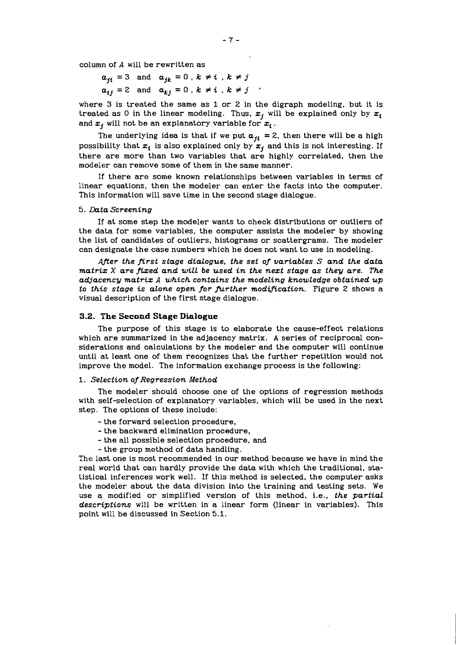column of **A** will be rewritten as

 $a_{ji} = 3$  and  $a_{jk} = 0$ ,  $k \neq i$ ,  $k \neq j$  $a_{ij}=2$  and  $a_{kj}=0$ ,  $k \neq i$ ,  $k \neq j$ 

where *3* is treated the same as 1 or *2* in the digraph modeling, but it is treated as 0 in the linear modeling. Thus,  $x_i$  will be explained only by  $x_i$ and  $x_j$  will not be an explanatory variable for  $x_i$ .

The underlying idea is that if we put  $a_{ji} = 2$ , then there will be a high possibility that  $\pmb{x_i}$  is also explained only by  $\pmb{x_j}$  and this is not interesting. If there are more than two variables that are highly correlated, then the modeler can remove some of them in the same manner.

If there are some known relationships between variables in terms of linear equations, then the modeler can enter the facts into the computer. This information will save time in the second stage dialogue.

#### 5. *Data Screening*

If at some step the modeler wants to check distributions or outliers of the data for some variables, the computer assists the modeler by showing the list of candidates of outliers, histograms or scattergrams. The modeler can designate the case numbers which he does not want to use in modeling.

*mer the first stage dialogue, the set of variables S and the data matrix X are fized and will be used in the next stage as they are. The adjacency matrix A which contains the modeling knowledge obtained up to this stage is alone open for further modification.* Figure 2 shows a visual description of the first stage dialogue.

# **3.2. The Second Stage Dialogue**

The purpose of this stage is to elaborate the cause-effect relations which are summarized in the adjacency matrix. **A** series of reciprocal considerations and calculations by the modeler and the computer will continue until at least one of them recognizes that the further repetition would not improve the model. The information exchange process is the following:

# *1. Selection of Regression Method*

The modeler should choose one of the options of regression methods with self-selection of explanatory variables, which will be used in the next step. The options of these include:

- the forward selection procedure,
- the backward elimination procedure,
- the all possible selection procedure, and
- the group method of data handling.

The last one is most recommended in our method because we have in mind the real world that can hardly provide the data with which the traditional, statistical inferences work well. If this method is selected, the computer asks the modeler about the data division into the training and testing sets. We use a modified or simplified version of this method, i.e., *the partial descriptions* will be written in a linear form (linear in variables). This point will be discussed in Section 5.1.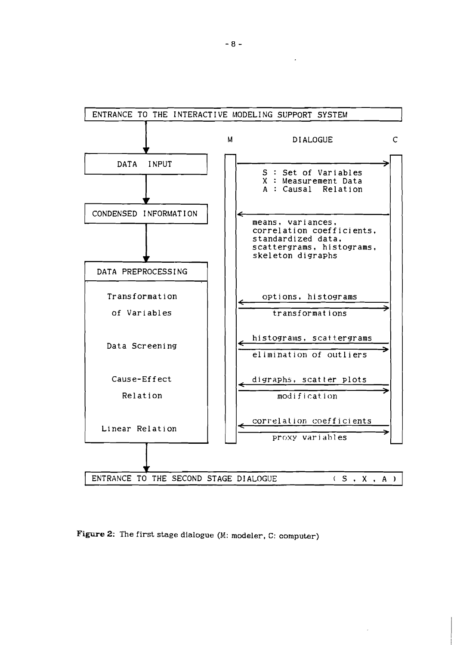

Figure 2: The first stage dialogue (M: modeler, C: computer)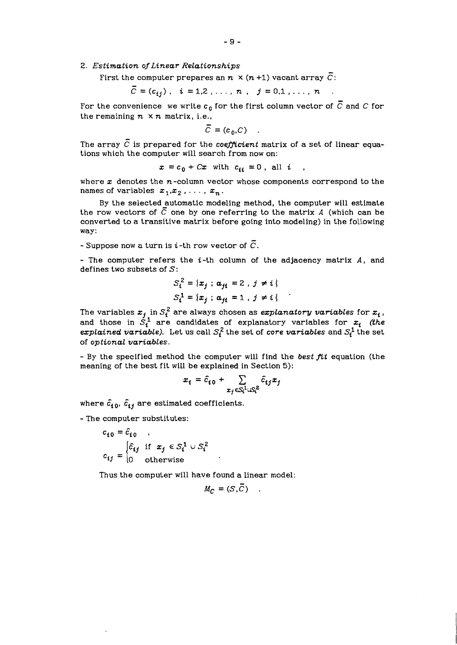2. Estimation of Linear Relationships

First the computer prepares an  $n \times (n + 1)$  vacant array  $\overline{C}$ :

 $\overline{C} = (c_{ij}), i = 1,2,...,n, j = 0,1,...,n$ .

For the convenience we write  $c_0$  for the first column vector of  $\overline{C}$  and C for the remaining  $n \times n$  matrix, i.e.,

$$
\overline{C} = (c_0, C)
$$

The array  $\bar{C}$  is prepared for the coefficient matrix of a set of linear equations which the computer will search from now on:

 $x = c_0 + Cx$  with  $c_{ii} = 0$ , all i

where  $x$  denotes the  $n$ -column vector whose components correspond to the names of variables  $x_1,x_2, \ldots, x_n$ .

By the selected automatic modeling method, the computer will estimate the row vectors of  $\overline{C}$  one by one referring to the matrix A (which can be converted to a transitive matrix before going into modeling) in the following way:

- Suppose now a turn is *i*-th row vector of  $\overline{C}$ .

- The computer refers the i-th column of the adjacency matrix **A,** and defines two subsets of  $S$ :

$$
S_i^2 = \{x_j : a_{ji} = 2, j \neq i\}
$$
  

$$
S_i^1 = \{x_j : a_{ji} = 1, j \neq i\}
$$

The variables  $x_j$  in  $\mathcal{S}^2_t$  are always chosen as  $\emph{expianatory variables}$  for  $x_i$  , and those in  $S_i^1$  are candidates of explanatory variables for  $x_i$  (the explained variable). Let us call  $S_t^2$  the set of *core variables* and  $S_t^1$  the set of optional variabtes.

- By the specified method the computer will find the best fit equation (the meaning of the best fit will be explained in Section 5):

$$
x_i = \hat{c}_{i0} + \sum_{x_j \in S_i^1 \cup S_i^2} \hat{c}_{ij} x_j
$$

where  $\hat{c}_{i0}$ ,  $\hat{c}_{ij}$  are estimated coefficients.

- The computer substitutes:

$$
c_{i0} = \hat{c}_{i0}
$$
  

$$
c_{ij} = \begin{cases} \hat{c}_{ij} & \text{if } x_j \in S_i^1 \cup S_i^2 \\ 0 & \text{otherwise} \end{cases}
$$

Thus the computer will have found a linear model:

$$
M_C = (S, C)
$$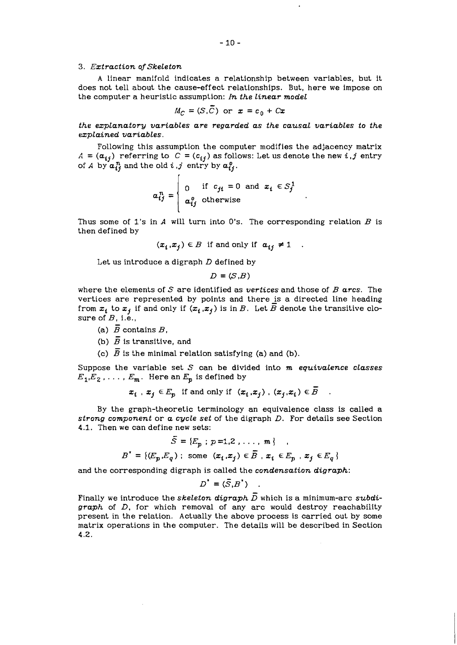#### *3. Extraction ofskeleton*

A linear manifold indicates a relationship between variables, but it does not tell about the cause-effect relationships. But, here we impose on the computer a heuristic assumption: *In the linear model*  -

$$
M_C = (S, \overline{C}) \text{ or } x = c_0 + Cx
$$

*the explanatory variables are regarded as the causal variables to the explained variables.* 

Following this assumption the computer modifies the adjacency matrix  $A = (\mathbf{a}_{ij})$  referring to  $C = (c_{ij})$  as follows: Let us denote the new *i*, *j* entry of *A* by  $a_{ij}^n$  and the old *i*, *j* entry by  $a_{ij}^0$ .

$$
\boldsymbol{a}_{ij}^n = \begin{cases} 0 & \text{if } c_{ji} = 0 \text{ and } x_i \in S_j^1 \\ a_{ij}^0 & \text{otherwise} \end{cases}
$$

Thus some of 1's in **A** will turn into 0's. The corresponding relation *B* is then defined by

$$
(x_i, x_j) \in B \text{ if and only if } a_{ij} \neq 1 .
$$

Let us introduce a digraph *D* defined by

 $D = (S.B)$ 

where the elements of S are identified as *vertices* and those of *B arcs.* The vertices are represented by points and there is a directed line heading from  $x_i$  to  $x_j$  if and only if  $(x_i, x_j)$  is in *B*. Let  $\overline{B}$  denote the transitive closure of *B,* i.e.,

- (a)  $\overline{B}$  contains  $B$ .
- (b)  $\overline{B}$  is transitive, and
- (c)  $\overline{B}$  is the minimal relation satisfying (a) and (b).

Suppose the variable set *S* can be divided into *m equivalence classes*   $E_1, E_2, \ldots, E_m$ . Here an  $E_n$  is defined by <u>ե</u>

$$
x_i
$$
,  $x_j \in E_p$  if and only if  $(x_i, x_j)$ ,  $(x_j, x_i) \in \overline{B}$ .

By the graph-theoretic terminology an equivalence class is called a *strong component* or *a cycle set* of the digraph *D.* For details see Section 4.1. Then we can define new sets:<br> $\tilde{c} = (\vec{r} \cdot \vec{r})$ 

$$
\bar{S} = \{E_p : p = 1, 2, \dots, m\}
$$
  

$$
B' = \{(E_p, E_q) : \text{some } (x_i, x_j) \in \bar{B}, x_i \in E_p, x_j \in E_q\}
$$

and the corresponding digraph is called the *condensation digraph:* 

$$
D^* = (\bar{S}, B^*) \quad .
$$

Finally we introduce the *skeleton* digraph  $\overline{D}$  which is a minimum-arc *subdigraph* of *D,* for which removal of any arc would destroy reachability present in the relation. Actually the above process is carried out by some matrix operations in the computer. The details will be described in Section 4.2.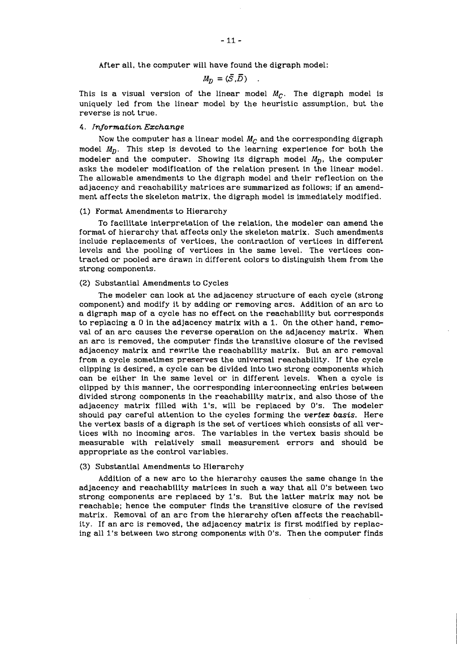After all, the computer will have found the digraph model:

$$
M_D = (\bar{S}, \bar{D}) \quad .
$$

This is a visual version of the linear model  $M_{C}$ . The digraph model is uniquely led from the linear model by the heuristic assumption, but the reverse is not true.

# *4. Information Exchange*

Now the computer has a linear model  $M_C$  and the corresponding digraph model  $M_p$ . This step is devoted to the learning experience for both the modeler and the computer. Showing its digraph model  $M_D$ , the computer asks the modeler modification of the relation present in the linear model. The allowable amendments to the digraph model and their reflection on the adjacency and reachability matrices are summarized as follows; if an amendment affects the skeleton matrix, the digraph model is immediately modified.

# (1) Format Amendments to Hierarchy

To facilitate interpretation of the relation, the modeler can amend the format of hierarchy that affects only the skeleton matrix. Such amendments include replacements of vertices, the contraction of vertices in different levels and the pooling of vertices in the same level. The vertices contracted or pooled are drawn in different colors to distinguish them from the strong components.

### (2) Substantial Amendments to Cycles

The modeler can look at the adjacency structure of each cycle (strong component) and modify it by adding or removing arcs. Addition of an arc to a digraph map of a cycle has no effect on the reachability but corresponds to replacing a 0 in the adjacency matrix with a 1. On the other hand, removal of an arc causes the reverse operation on the adjacency matrix. When an arc is removed, the computer finds the transitive closure of the revised adjacency matrix and rewrite the reachability matrix. But an arc removal from a cycle sometimes preserves the universal reachability. If the cycle clipping is desired, a cycle can be divided into two strong components which can be either in the same level or in different levels. When a cycle is clipped by this manner, the corresponding interconnecting entries between divided strong components in the reachability matrix, and also those of the adjacency matrix filled with l's, will be replaced by 0's. The modeler should pay careful attention to the cycles forming the *vertex basis.* Here the vertex basis of a digraph is the set of vertices which consists of all vertices with no incoming arcs. The variables in the vertex basis should be measurable with relatively small measurement errors and should be appropriate as the control variables.

#### (3) Substantial Amendments to Hierarchy

Addition of a new arc to the hierarchy causes the same change in the adjacency and reachability matrices in such a way that all 0's between two strong components are replaced by 1's. But the latter matrix may not be reachable; hence the computer finds the transitive closure of the revised matrix. Removal of an arc from the hierarchy often affects the reachability. If an arc is removed, the adjacency matrix is first modified by replacing all 1's between two strong components with 0's. Then the computer finds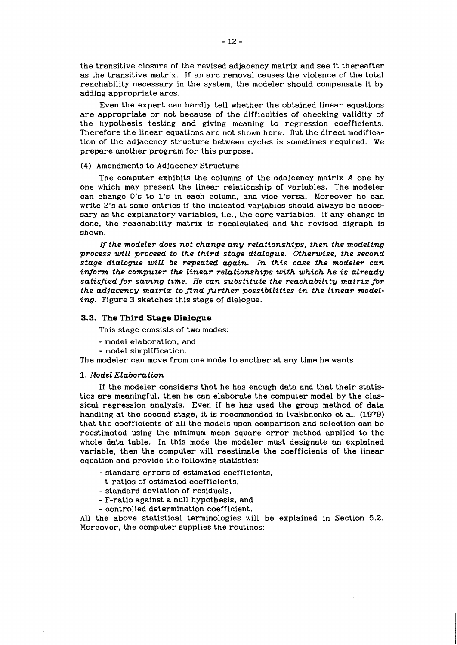the transitive closure of the revised adjacency matrix and see it thereafter as the transitive matrix. If an arc removal causes the violence of the total reachability necessary in the system, the modeler should compensate it by adding appropriate arcs.

Even the expert can hardly tell whether the obtained linear equations are appropriate or not because of the difficulties of checking validity of the hypothesis testing and giving meaning to regression coefficients. Therefore the linear equations are not shown here. But the direct modification of the adjacency structure between cycles is sometimes required. We prepare another program for this purpose.

#### (4) Amendments to Adjacency Structure

The computer exhibits the columns of the adajcency matrix *A* one by one which may present the linear relationship of variables. The modeler can change 0's to 1's in each column, and vice versa. Moreover he can write 2's at some entries if the indicated variables should always be necessary as the explanatory variables, i.e., the core variables. If any change is done, the reachability matrix is recalculated and the revised digraph is shown.

*the modeler does not change any relationships, then the modeling process will proceed to the third stage dialogue. Otherwise, the second stage dialogue will be repeated again. In this case the modeler can inform the computer the Linear relationships with which he is already satisfied for saving time. He can substitute the reachability matrix fir the adjacency matrix to find further possibilities in the linear modeling.* Figure *3* sketches this stage of dialogue.

#### **3.3. The Third Stage Dialogue**

This stage consists of two modes:

- model elaboration, and
- model simplification.

The modeler can move from one mode to another at any time he wants.

# 1. *Model Elaboration*

If the modeler considers that he has enough data and that their statistics are meaningful, then he can elaborate the computer model by the classical regression analysis. Even if he has used the group method of data handling at the second stage, it is recommended in Ivakhnenko et al. (1979) that the coefficients of all the models upon comparison and selection can be reestimated using the minimum mean square error method applied to the whole data table. In this mode the modeler must designate an explained variable, then the computer will reestimate the coefficients of the linear equation and provide the following statistics:

- standard errors of estimated coefficients,
- t-ratios of estimated coefficients,
- standard deviation of residuals,
- F-ratio against a null hypothesis, and
- controlled determination coefficient.

All the above statistical terminologies will be explained in Section 5.2. Moreover, the computer supplies the routines: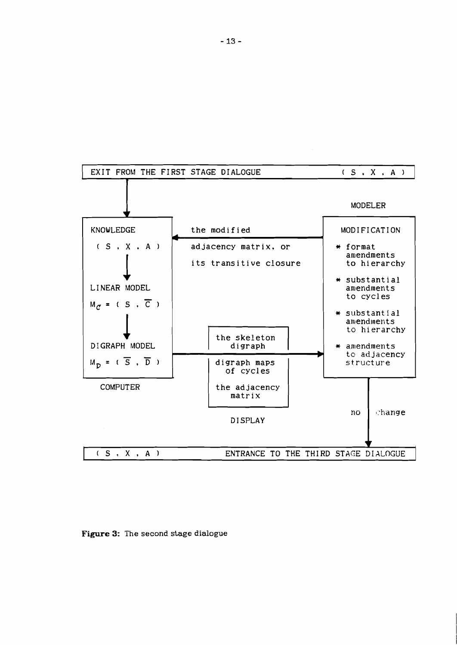

**Figure** 3: The second stage dialogue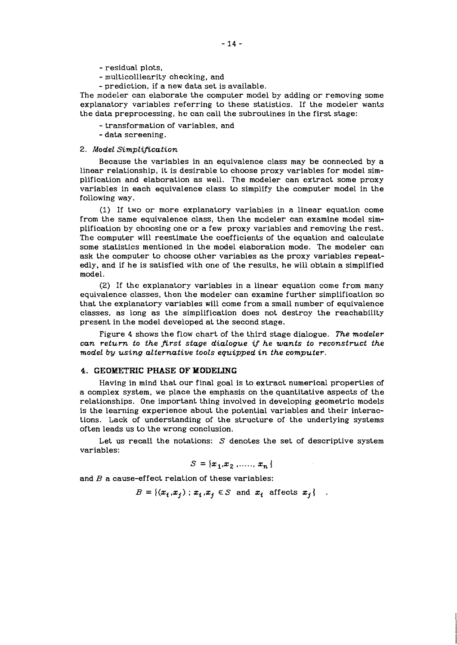- residual plots,
- multicolliearity checking, and
- prediction, if a new data set is available.

The modeler can elaborate the computer model by adding or removing some explanatory variables referring to these statistics. If the modeler wants the data preprocessing, he can call the subroutines in the first stage:

- transformation of variables, and

- data screening.

# **2.** *Model Simplification*

Because the variables in an equivalence class may be connected by a linear relationship, it is desirable to choose proxy variables for model simplification and elaboration as well. The modeler can extract some proxy variables in each equivalence class to simplify the computer model in the following way.

(1) If two or more explanatory variables in a linear equation come from the same equivalence class, then the modeler can examine model simplification by choosing one or a few proxy variables and removing the rest. The computer will reestimate the coefficients of the equation and calculate some statistics mentioned in the model elaboration mode. The modeler can ask the computer to choose other variables as the proxy variables repeatedly, and if he is satisfied with one of the results, he will obtain a simplified model.

**(2)** If the explanatory variables in a linear equation come from many equivalence classes, then the modeler can examine further simplification so that the explanatory variables will come from a small number of equivalence classes, as long as the simplification does not destroy the reachability present in the model developed at the second stage.

Figure 4 shows the flow chart of the third stage dialogue. *The modeler can return to the first stage dialogue if he wants to reconstruct the model by using alternative tools equipped in the computer.* 

# **4. GEOMXTRIC** *PHASE* **OF YODELING**

Having in mind that our final goal is to extract numerical properties of a complex system, we place the emphasis on the quantitative aspects of the relationships. One important thing involved in developing geometric models is the learning experience about the potential variables and their interactions. Lack of understanding of the structure of the underlying systems often leads us to the wrong conclusion.

Let us recall the notations: *S* denotes the set of descriptive system variables:

$$
S = \{x_1, x_2, \dots, x_n\}
$$

and  $B$  a cause-effect relation of these variables:

 $B = \{ (x_i, x_j) : x_i, x_j \in S \text{ and } x_i \text{ affects } x_j \}$ .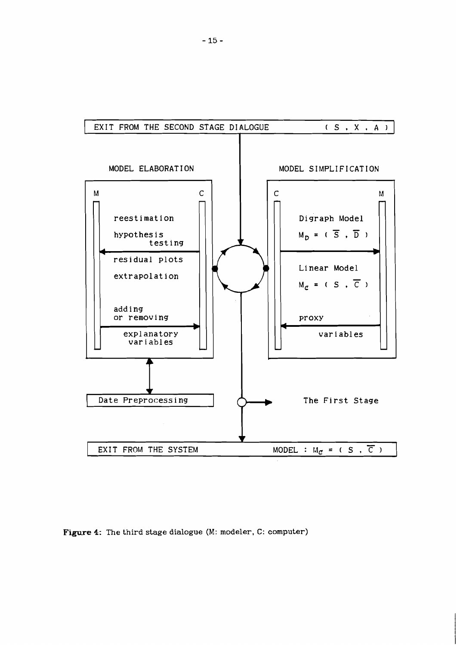

**Figure** 4: The third stage dialogue (M: modeler, C: computer)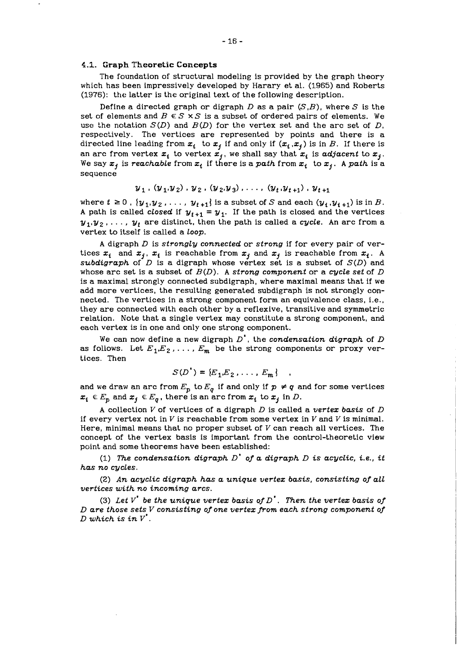# **4.1. Graph Theoretic Concepts**

The foundation of structural modeling is provided by the graph theory which has been impressively developed by Harary et al. *(1965)* and Roberts *(1976):* the latter is the original text of the following description.

Define a directed graph or digraph *D* as a pair *(S,B),* where *S* is the set of elements and  $B \in S \times S$  is a subset of ordered pairs of elements. We use the notation  $S(D)$  and  $B(D)$  for the vertex set and the arc set of  $D$ , respectively. The vertices are represented by points and there is a directed line leading from  $x_i$  to  $x_j$  if and only if  $(x_i, x_j)$  is in *B*. If there is an arc from vertex  $x_i$  to vertex  $x_j$ , we shall say that  $x_i$  is *adjacent* to  $x_j$ . We say  $x_j$  is *reachable* from  $x_i$  if there is a path from  $x_i$  to  $x_j$ . A path is a sequence

$$
y_1
$$
,  $(y_1, y_2)$ ,  $y_2$ ,  $(y_2, y_3)$ , ...,  $(y_t, y_{t+1})$ ,  $y_{t+1}$ 

where  $t \geq 0$ ,  $\{y_1, y_2, \ldots, y_{t+1}\}$  is a subset of *S* and each  $(y_i, y_{i+1})$  is in *B*. A path is called *closed* if  $y_{t+1} = y_1$ . If the path is closed and the vertices  $y_1, y_2, \ldots$ ,  $y_t$  are distinct, then the path is called a *cycle*. An arc from a vertex to itself is called a *loop.* 

*A* digraph *D* is *strongly connected* or *strong* if for every pair of vertices  $x_i$  and  $x_j$ ,  $x_i$  is reachable from  $x_j$  and  $x_j$  is reachable from  $x_i$ . A *subdigraph* of *D* is a digraph whose vertex set is a subset of *S(D)* and whose arc set is a subset of *B(D). A strong component* or a *cycle set* of *D*  is a maximal strongly connected subdigraph, where maximal means that if we add more vertices, the resulting generated subdigraph is not strongly connected. The vertices in a strong component form an equivalence class, i.e., they are connected with each other by a reflexive, transitive and symmetric relation. Note that a single vertex may constitute a strong component, and each vertex is in one and only one strong component.

We can now define a new digraph *D',* the *condensation digraph* of *D*  as follows. Let  $E_1, E_2, \ldots, E_m$  be the strong components or proxy vertices. Then

$$
S(D^{\bullet}) = \{E_1, E_2, \ldots, E_m\}
$$

and we draw an arc from  $E_p$  to  $E_q$  if and only if  $p \neq q$  and for some vertices  $x_i \in E_p$  and  $x_j \in E_q$ , there is an arc from  $x_i$  to  $x_j$  in *D*.

**<sup>A</sup>**collection V of vertices of a digraph *D* is called a *vertez basis* of *D*  if every vertex not in  $V$  is reachable from some vertex in  $V$  and  $V$  is minimal. Here, minimal means that no proper subset of  $V$  can reach all vertices. The concept of the vertex basis is important from the control-theoretic view point and some theorems have been established:

*(1) The condensation digraph D' of a digraph D is acyclic, i.e., it has no cycles.* 

*(2) An acyclic digraph has a unique vertez basis, consisting of all vertices with no incoming arcs.* 

(3) Let  $V^*$  be the unique vertex basis of  $D^*$ . Then the vertex basis of *D are those sets V consisting of one vertez from each strong component of*   $D$  which is in  $V'$ .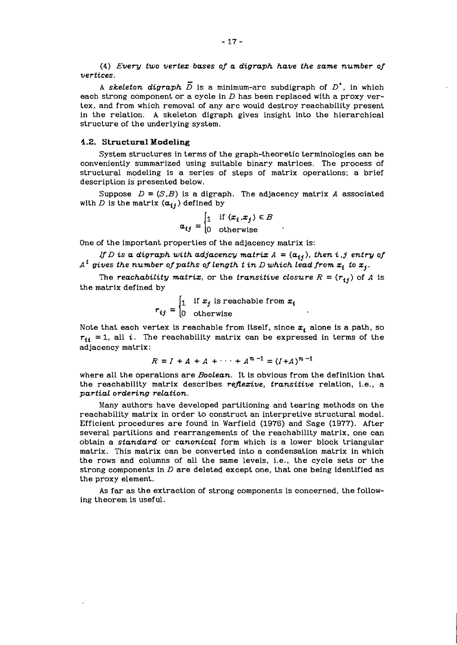*(4) Every two vertez bases of a digraph have the same number of vertices.* 

A skeleton digraph  $\overline{D}$  is a minimum-arc subdigraph of  $D^*$ , in which each strong component or a cycle in **D** has been replaced with a proxy vertex, and from which removal of any arc would destroy reachability present in the relation. **A** skeleton digraph gives insight into the hierarchical structure of the underlying system.

# **4.2. Structural Modeling**

System structures in terms of the graph-theoretic terminologies can be conveniently summarized using suitable binary matrices. The process of structural modeling is a series of steps of matrix operations; a brief description is presented below.

Suppose  $D = (S, B)$  is a digraph. The adjacency matrix *A* associated with *D* is the matrix  $(a_{ij})$  defined by

$$
a_{ij} = \begin{cases} 1 & \text{if } (x_i, x_j) \in B \\ 0 & \text{otherwise} \end{cases}
$$

One of the important properties of the adjacency matrix is:

If D is a digraph with adjacency matrix  $A = (a_{ij})$ , then i,j entry of  $A<sup>t</sup>$  gives the number of paths of length  $t$  in  $D$  which lead from  $x_i$  to  $x_j$ .

The *reachability matrix*, or the *transitive closure*  $R = (r_{ij})$  of *A* is the matrix defined by

$$
r_{ij} = \begin{cases} 1 & \text{if } x_j \text{ is reachable from } x_i \\ 0 & \text{otherwise} \end{cases}
$$

Note that each vertex is reachable from itself, since  $x_i$  alone is a path, so  $r_{ii}$  = 1, all *i*. The reachability matrix can be expressed in terms of the adjacency matrix:

$$
R = I + A + A + \cdots + A^{n-1} = (I + A)^{n-1}
$$

where all the operations are *Boolean.* It is obvious from the definition that the reachability matrix describes *reflexive, transitive* relation, i.e., a *partial ordering relation.* 

Many authors have developed partitioning and tearing methods on the reachability matrix in order to construct an interpretive structural model. Efficient procedures are found in Warfield *(1976)* and Sage *(1977).* After several partitions and rearrangements of the reachability matrix, one can obtain a *standard* or *canonicaL* form which is a lower block triangular matrix. This matrix can be converted into a condensation matrix in which the rows and columns of all the same levels, i.e., the cycle sets or the strong components in **D** are deleted except one, that one being identified as the proxy element.

As far as the extraction of strong components is concerned, the following theorem is useful.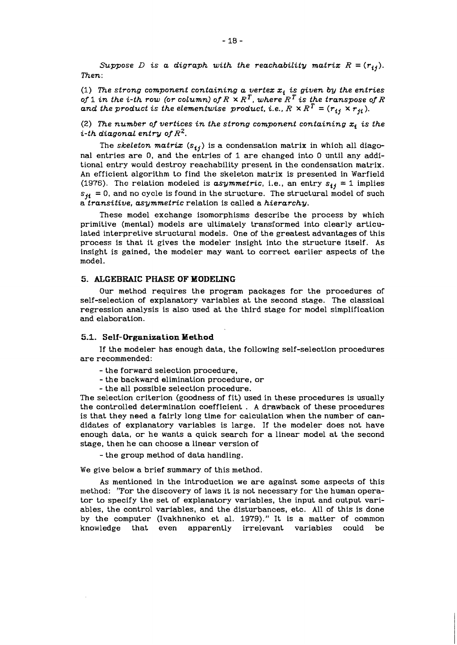*Suppose D* is a digraph with the reachability matrix  $R = (r_{ij})$ . *Then:* 

(1) The strong component containing a vertex  $x_i$  is given by the entries of 1 in the i-th row (or column) of  $R \times R^T$ , where  $R^T$  is the transpose of  $R$ and the product is the elementwise product, i.e.,  $R \times R^T = (r_{ij} \times r_{ji})$ .

(2) The number of vertices in the strong component containing  $x_i$  is the *i-th diagonal entry of R2.* 

The *skeleton matrix*  $(s_{ij})$  is a condensation matrix in which all diagonal entries are 0, and the entries of 1 are changed into **0** until any additional entry would destroy reachability present in the condensation matrix. An efficient algorithm to find the skeleton matrix is presented in Warfield (1976). The relation modeled is  $asymmetric$ , i.e., an entry  $s_{ij} = 1$  implies  $s_{ij}$  = 0, and no cycle is found in the structure. The structural model of such a *transitive, asymmetric* relation is called a *hierarchy.* 

These model exchange isomorphisms describe the process by which primitive (mental) models are ultimately transformed into clearly articulated interpretive structural models. One of the greatest advantages of this process is that it gives the modeler insight into the structure itself. As insight is gained, the modeler may want to correct earlier aspects of the model.

# *5.* **ALGEBRAIC PHASE OF MODELING**

Our method requires the program packages for the procedures of self-selection of explanatory variables at the second stage. The classical regression analysis is also used at the third stage for model simplification and elaboration.

#### **5.1. Self-Organization Method**

If the modeler has enough data, the following self-selection procedures are recommended:

- the forward selection procedure,
- the backward elimination procedure, or
- the all possible selection procedure.

The selection criterion (goodness of fit) used in these procedures is usually the controlled determination coefficient . A drawback of these procedures is that they need a fairly long time for calculation when the number of candidates of explanatory variables is large. If the modeler does not have enough data, or he wants a quick search for a linear model at the second stage, then he can choose a linear version of

- the group method of data handling.

We give below a brief summary of this method.

As mentioned in the introduction we are against some aspects of this method: "For the discovery of laws it is not necessary for the human operator to specify the set of explanatory variables, the input and output variables, the control variables, and the disturbances, etc. All of this is done by the computer (Ivakhnenko et al. 1979)." It is a matter of common knowledge that even apparently irrelevant variables could be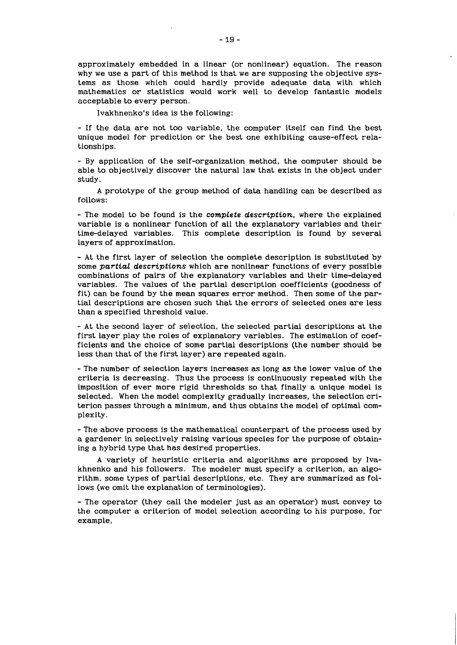approximately embedded in a linear (or nonlinear) equation. The reason why we use a part of this method is that we are supposing the objective systems as those which could hardly provide adequate data with which mathematics or statistics would work well to develop fantastic models acceptable to every person.

Ivakhnenko's idea is the following:

- If the data are not too variable, the computer itself can find the best unique model for prediction or the best one exhibiting cause-effect relationships.

- By application of the self-organization method, the computer should be able to objectively discover the natural law that exists in the object under study.

A prototype of the group method of data handling can be described as follows:

- The model to be found is the *complete description,* where the explained variable is a nonlinear function of all the explanatory variables and their time-delayed variables. This complete description is found by several layers of approximation.

- At the first layer of selection the complete description is substituted by some *partial descriptions* which are nonlinear functions of every possible combinations of pairs of the explanatory variables and their time-delayed variables. The values of the partial description coefficients (goodness of fit) can be found by the mean squares error method. Then some of the partial descriptions are chosen such that the errors of selected ones are less than a specified threshold value.

- At the second layer of selection, the selected partial descriptions at the first layer play the roles of explanatory variables. The estimation of coefficients and the choice of some partial descriptions (the number should be less than that of the first layer) are repeated again.

- The number of selection layers increases as long as the lower value of the criteria is decreasing. Thus the process is continuously repeated with the imposition of ever more rigid thresholds so that finally a unique model is selected. When the model complexity gradually increases, the selection criterion passes through a minimum, and thus obtains the model of optimal complexity.

- The above process is the mathematical counterpart of the process used by a gardener in selectively raising various species for the purpose of obtaining a hybrid type that has desired properties.

A variety of heuristic criteria and algorithms are proposed by Ivakhnenko and his followers. The modeler must specify a criterion, an algorithm, some types of partial descriptions, etc. They are summarized as follows (we omit the explanation of terminologies).

- The operator (they call the modeler just as an operator) must convey to the computer a criterion of model selection according to his purpose, for example,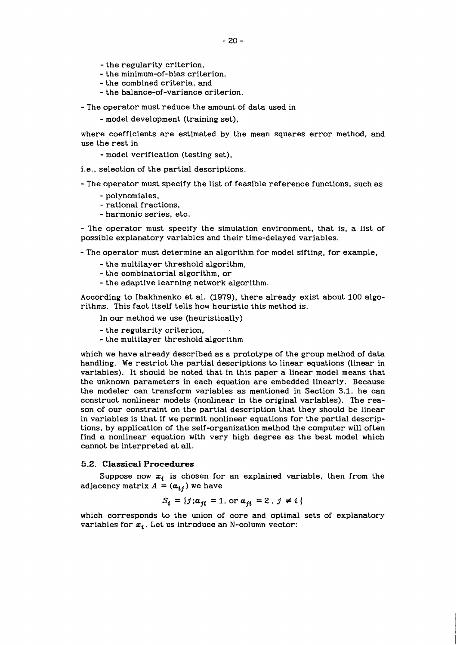- the regularity criterion,
- the minimum-of-bias criterion,
- the combined criteria, and
- the balance-of-variance criterion.

- The operator must reduce the amount of data used in

- model development (training set),

where coefficients are estimated by the mean squares error method, and use the rest in

- model verification (testing set),

i.e., selection of the partial descriptions.

- The operator must specify the list of feasible reference functions, such as

- polynomiales,
- rational fractions,
- harmonic series, etc.

- The operator must specify the simulation environment, that is, a list of possible explanatory variables and their time-delayed variables.

- The operator must determine an algorithm for model sifting, for example,

- the multilayer threshold algorithm,
- the combinatorial algorithm, or
- the adaptive learning network algorithm.

According to Ibakhnenko et al. (19?9), there already exist about 100 algorithms. This fact itself tells how heuristic this method is.

In our method we use (heuristically)

- the regularity criterion,
- the multilayer threshold algorithm

which we have already described as a prototype of the group method of data handling. We restrict the partial descriptions to linear equations (linear in variables). It should be noted that in this paper a linear model means that the unknown parameters in each equation are embedded linearly. Because the modeler can transform variables as mentioned in Section 3.1, he can construct nonlinear models (nonlinear in the original variables). The reason of our constraint on the partial description that they should be linear in variables is that if we permit nonlinear equations for the partial descriptions, by application of the self-organization method the computer will often find a nonlinear equation with very high degree as the best model which cannot be interpreted at all.

# **5.2. Classical Procedures**

Suppose now  $x_i$  is chosen for an explained variable, then from the adjacency matrix  $A = (\mathbf{a}_{ij})$  we have

$$
S_i = \{j : a_{ji} = 1, \text{ or } a_{ji} = 2, j \neq i\}
$$

which corresponds to the union of core and optimal sets of explanatory variables for  $x_i$ . Let us introduce an N-column vector: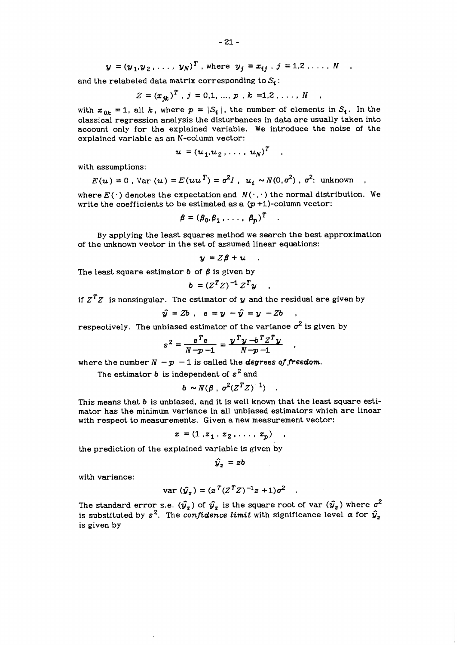$$
y = (y_1, y_2, ..., y_N)^T
$$
, where  $y_j = x_{ij}$ ,  $j = 1, 2, ..., N$ 

and the relabeled data matrix corresponding to  $S_i$ :

$$
Z = (x_{jk})^T, j = 0,1, ..., p, k = 1,2, ..., N
$$

with  $x_{0k} = 1$ , all  $k$ , where  $p = |S_i|$ , the number of elements in  $S_i$ . In the classical regression analysis the disturbances in data are usually taken into account only for the explained variable. We introduce the noise of the explained variable as an N-column vector:

$$
u = (u_1, u_2, \ldots, u_N)^T
$$

with assumptions:

$$
E(u) = 0
$$
,  $\text{Var}(u) = E(uu^T) = \sigma^2 I$ ,  $u_t \sim N(0, \sigma^2)$ ,  $\sigma^2$ : unknown

where  $E(\cdot)$  denotes the expectation and  $N(\cdot, \cdot)$  the normal distribution. We write the coefficients to be estimated as a  $(p+1)$ -column vector:

$$
\beta = (\beta_0, \beta_1, \ldots, \beta_p)^T \quad .
$$

By applying the least squares method we search the best approximation of the unknown vector in the set of assumed linear equations:

$$
y = Z\beta + u
$$

The least square estimator  $b$  of  $\beta$  is given by

$$
b = (Z^T Z)^{-1} Z^T y
$$

if  $Z^T Z$  is nonsingular. The estimator of  $y$  and the residual are given by

$$
\hat{y} = Zb , e = y - \hat{y} = y - Zb
$$

respectively. The unbiased estimator of the variance  $\sigma^2$  is given by

$$
s^2 = \frac{e^T e}{N-p-1} = \frac{y^T y - b^T z^T y}{N-p-1} ,
$$

where the number  $N - p - 1$  is called the *degrees of freedom*.

The estimator b is independent of *s2* and

$$
b \sim N(\beta \, , \, \sigma^2 (Z^T Z)^{-1}) \quad .
$$

This means that b is unbiased, and it is well known that the least square estimator has the minimum variance in all unbiased estimators which are linear with respect to measurements. Given a new measurement vector:

$$
z = (1, z_1, z_2, \ldots, z_n)
$$

the prediction of the explained variable is given by

$$
\hat{y}_z = zb
$$

with variance:

var 
$$
(\hat{y}_z) = (z^T (Z^T Z)^{-1} z + 1) \sigma^2
$$
.

The standard error s.e.  $(\hat{\bm{y}_{\bm{z}}})$  of  $\hat{\bm{y}_{\bm{z}}}$  is the square root of var  $(\hat{\bm{y}_{\bm{z}}})$  where  $\sigma^2$ is substituted by  $s^2$ . The *confidence limit* with significance level  $\alpha$  for  $\hat{y}_z$ is given by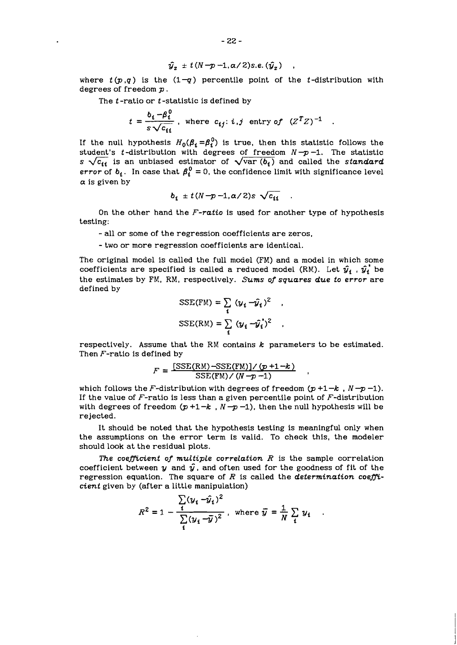$$
\hat{y}_z = t(N-p-1, \alpha/2)s.e. (\hat{y}_z)
$$

where  $t(p,q)$  is the  $(1-q)$  percentile point of the *t*-distribution with degrees of freedom *p* .

The *t* -ratio or *t* -statistic is defined by

$$
t = \frac{b_i - \beta_i^0}{s \sqrt{c_{ii}}} \; , \text{ where } c_{ij}: i, j \text{ entry of } (Z^T Z)^{-1} \; .
$$

If the null hypothesis  $H_0(\beta_i = \beta_i^0)$  is true, then this statistic follows the student's *t*-distribution with degrees of freedom  $N - p - 1$ . The statistic *s* $\sqrt{c_{ii}}$  is an unbiased estimator of  $\sqrt{\text{var}(b_i)}$  and called the *standard error* of  $b_i$ . In case that  $\beta_i^0 = 0$ , the confidence limit with significance level  $\alpha$  is given by

$$
b_i \pm t (N - p - 1, \alpha / 2) s \sqrt{c_{ii}}
$$

On the other hand the *F-ratio* is used for another type of hypothesis testing:

- all or some of the regression coefficients are zeros,

- two or more regression coefficients are identical.

The original model is called the full model (FM) and a model in which some coefficients are specified is called a reduced model (RM). Let  $\hat{y}_i$ ,  $\hat{y}_i$  be the estimates by FM, RM, respectively. *Sums of squares due to error* are defined by

$$
SSE(FM) = \sum_{i} (y_i - \hat{y}_i)^2
$$
  

$$
SSE(RM) = \sum_{i} (y_i - \hat{y}_i)^2
$$

respectively. Assume that the RM contains  $k$  parameters to be estimated. Then  $F$ -ratio is defined by

$$
F = \frac{[SSE(RM) - SSE(FM)]/(p+1-k)}{SSE(FM)/(N-p-1)}
$$

which follows the F-distribution with degrees of freedom  $(p+1-k, N-p-1)$ . If the value of  $F$ -ratio is less than a given percentile point of  $F$ -distribution with degrees of freedom  $(p+1-k, N-p-1)$ , then the null hypothesis will be rejected.

It should be noted that the hypothesis testing is meaningful only when the assumptions on the error term is valid. To check this, the modeler should look at the residual plots.

The coefficient of multiple correlation  $R$  is the sample correlation coefficient between y and  $\hat{y}$ , and often used for the goodness of fit of the regression equation. The square of  $R$  is called the *determination coefficient* given by (after a little manipulation)

$$
R^{2} = 1 - \frac{\sum_{i} (y_{i} - \bar{y}_{i})^{2}}{\sum_{i} (y_{i} - \bar{y})^{2}}, \text{ where } \bar{y} = \frac{1}{N} \sum_{i} y_{i}.
$$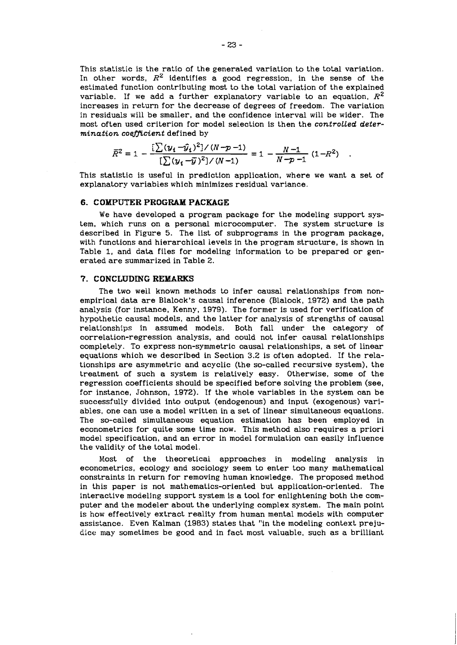This statistic is the ratio of the generated variation to the total variation. In other words, **R2** identifies a good regression, in the sense of the estimated function contributing most to the total variation of the explained variable. If we add a further explanatory variable to an equation,  $R^2$ increases in return for the decrease of degrees of freedom. The variation in residuals will be smaller, and the confidence interval will be wider. The most often used criterion for model selection is then the controlled determination coefficient defined by

$$
\overline{R}^2 = 1 - \frac{\left[\sum (y_i - \hat{y}_i)^2\right] / (N - p - 1)}{\left[\sum (y_i - \hat{y})^2\right] / (N - 1)} = 1 - \frac{N - 1}{N - p - 1} (1 - R^2)
$$

This statistic is useful in prediction application, where we want a set of explanatory variables which minimizes residual variance.

# 6. COMPUTER PROGRAM PACKAGE

We have developed a program package for the modeling support system, which runs on a personal microcomputer. The system structure is described in Figure 5. The list of subprograms in the program package, with functions and hierarchical levels in the program structure, is shown in Table 1, and data files for modeling information to be prepared or generated are summarized in Table 2.

# **7. CONCLUDING REMARKS**

The two well known methods to infer causal relationships from nonempirical data are Blalock's causal inference (Blalock, 1972) and the path analysis (for instance, Kenny. 1979). The former is used for verification of hypothetic causal models, and the latter for analysis of strengths of causal relationships in assumed models. Both fall under the category of correlation-regression analysis, and could not infer causal relationships completely. To express non-symmetric causal relationships, a set of linear equations which we described in Section 3.2 is often adopted. If the relationships are asymmetric and acyclic (the so-called recursive system), the treatment of such a system is relatively easy. Otherwise, some of the regression coefficients should be specified before solving the problem (see, for instance, Johnson, 1972). If the whole variables in the system can be successfully divided into output (endogenous) and input (exogenous) variables, one can use a model written in a set of linear simultaneous equations. The so-called simultaneous equation estimation has been employed in econometrics for quite some time now. This method also requires a priori model specification, and an error in model formulation can easily influence the validity of the total model.

Most of the theoretical approaches in modeling analysis in econometrics, ecology and sociology seem to enter too many mathematical constraints in return for removing human knowledge. The proposed method in this paper is not mathematics-oriented but application-oriented. The interactive modeling support system is a tool for enlightening both the computer and the modeler about the underlying complex system. The main point is how effectively extract reality from human mental models with computer assistance. Even Kalman (1983) states that "in the modeling context prejudice may sometimes be good and in fact most valuable, such as a brilliant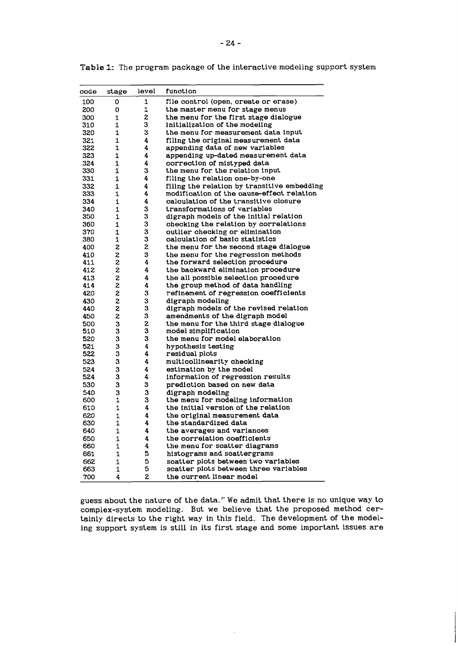| coãe | stage        | level | function                                    |
|------|--------------|-------|---------------------------------------------|
| 100  | 0            | 1     | file control (open, create or erase)        |
| 200  | 0            | 1     | the master menu for stage menus             |
| 300  | $\mathbf{1}$ | 2     | the menu for the first stage dialogue       |
| 310  | $\mathbf{1}$ | 3     | initialization of the modeling              |
| 320  | 1            | 3     | the menu for measurement data input         |
| 321  | $\mathbf{1}$ | 4     | filing the original measurement data        |
| 322  | 1            | 4     | appending data of new variables             |
| 323  | 1            | 4     | appending up-dated measurement data         |
| 324  | 1            | 4     | correction of mistyped data                 |
| 330  | $\mathbf{1}$ | 3     | the menu for the relation input             |
| 331  | 1            | 4     | filing the relation one-by-one              |
| 332  | $\mathbf{1}$ | 4     | filing the relation by transitive embedding |
| 333  | 1            | 4     | modification of the cause-effect relation   |
| 334  | 1            | 4     | calculation of the transitive closure       |
| 340  | 1            | 3     | transformations of variables                |
| 350  | $\mathbf{1}$ | 3     | digraph models of the initial relation      |
| 360  | $\mathbf{1}$ | 3     | checking the relation by correlations       |
| 370  | 1            | 3     | outlier checking or elimination             |
| 380  | 1            | 3     | calculation of basic statistics             |
| 400  | 2            | z     | the menu for the second stage dialogue      |
| 410  | 2            | 3     | the menu for the regression methods         |
| 411  | 2            | 4     | the forward selection procedure             |
| 412  | 2            | 4     | the backward elimination procedure          |
| 413  | 2            | 4     | the all possible selection procedure        |
| 414  | 2            | 4     | the group method of data handling           |
| 420  | 2            | 3     | refinement of regression coefficients       |
| 430  | 2            | 3     | digraph modeling                            |
| 440  | 2            | 3     | digraph models of the revised relation      |
| 450  | 2            | 3     | amendments of the digraph model             |
| 500  | 3            | 2     | the menu for the third stage dialogue       |
| 510  | 3            | 3     | model simplification                        |
| 520  | 3            | 3     | the menu for model elaboration              |
| 521  | 3            | 4     | hypothesis testing                          |
| 522  | 3            | 4     | residual plots                              |
| 523  | 3            | 4     | multicollinearity checking                  |
| 524  | 3            | 4     | estimation by the model                     |
| 524  | 3            | 4     | information of regression results           |
| 530  | 3            | 3     | prediction based on new data                |
| 540  | 3            | 3     | digraph modeling                            |
| 600  | 1            | 3     | the menu for modeling information           |
| 610  | 1            | 4     | the initial version of the relation         |
| 620  | 1            | 4     | the original measurement data               |
| 630  | 1            | 4     | the standardized data                       |
| 640  | 1            | 4     | the averages and variances                  |
| 650  | 1            | 4     | the correlation coefficients                |
| 660  | 1            | 4     | the menu for scatter diagrams               |
| 661  | 1            | 5     | histograms and scattergrams                 |
| 662  | 1            | 5     | scatter plots between two variables         |
| 663  | 1            | 5     | scatter plots between three variables       |
| 700  | 4            | 2     | the current linear model                    |

Tabie 1: The program package of the interactive modeling support system

guess about the nature of the data." We admit that there is no unique way to complex-system modeling. But we believe that the proposed method certainly directs to the right way in this field. The development of the modeling support system is still in its first stage and some important issues are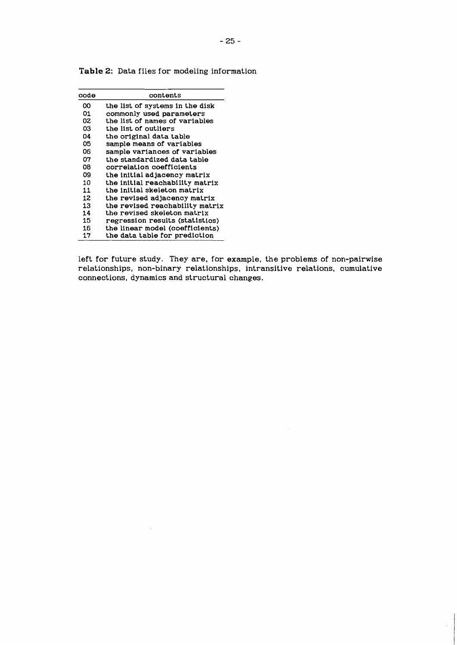| code | contents                        |
|------|---------------------------------|
| ΩO   | the list of systems in the disk |
| 01   | commonly used parameters        |
| 02   | the list of names of variables  |
| 03   | the list of outliers            |
| 04   | the original data table         |
| 05   | sample means of variables       |
| 06   | sample variances of variables   |
| 07   | the standardized data table     |
| 08   | correlation coefficients        |
| 09   | the initial adjacency matrix    |
| 10   | the initial reachability matrix |
| 11   | the initial skeleton matrix     |
| 12   | the revised adjacency matrix    |
| 13   | the revised reachability matrix |
| 14   | the revised skeleton matrix     |
| 15   | regression results (statistics) |
| 16   | the linear model (coefficients) |
| 17   | the data table for prediction   |

 $\hat{\mathcal{A}}$ 

**Table** 2: Data files for modeling information

left for future study. They are, for example, the problems of non-pairwise relationships, non-binary relationships, intransitive relations, cumulative connections, dynamics and structural changes.

 $\hat{\boldsymbol{\beta}}$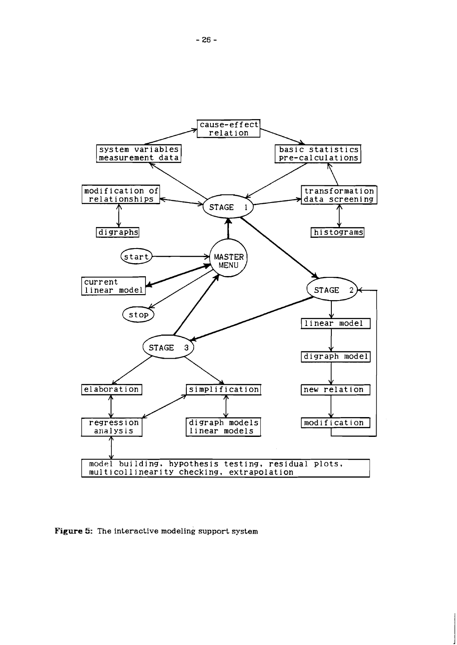

**Figure 5: The interactive modeling support system**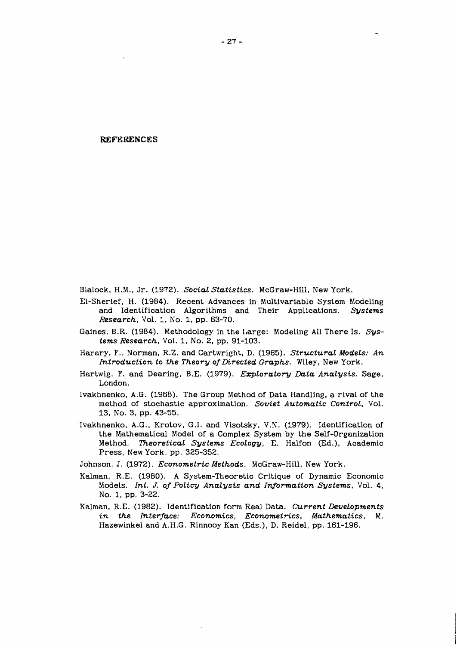#### **REFERENCES**

Blalock, H.M., Jr. (1972). *Social Statistics.* McGraw-Hill, New York.

- El-Sherief, H. (1984). Recent Advances in Multivariable System Modeling and Identification Algorithms and Their Applications. *Systems Research,* Vol. 1, No. 1, pp. 63-70.
- Gaines, B.R. (1984). Methodology in the Large: Modeling A11 There Is. *Systems Research,* Vol. 1, No. 2, pp. 91-103.
- Harary, F., Norman, R.Z. and Cartwright, D. (1965). *Structural Models: An Introduction to the Theory of Directed Graphs.* Wiley, New York.
- Hartwig, F. and Dearing, B.E. (19'79). *Ezploratory Data Analysis.* Sage, London.
- Ivakhnenko, A.G. (1968). The Group Method of Data Handling, a rival of the method of stochastic approximation. *Soviet Automatic Control.* Vol. 13, NO. 3, pp. 43-55.
- Ivakhnenko, A.G., Krotov, G.I. and Visotsky, V.N. (1979). Identification of the Mathematical Model of a Complex System by the Self-organization Method. *Theoretical Systems Ecology,* E. Halfon (Ed.), Academic Press, New York, pp. 325-352.
- Johnson, J. (1972). *Econometric Methods.* McGraw-Hill, New York.
- Kalman, R.E. (1980). A System-Theoretic Critique of Dynamic Economic Models. *Int. J. of Policy Analysis and Information Systems*, Vol. 4, No. 1, pp. 3-22.
- Kalman, R.E. (1982). Identification form Real Data. *Current Developments in the Interface: Economics, Econometrics, Mathematics, M.*  Hazewinkel and A.H.G. Rinnooy Kan (Eds.), D. Reidel, pp. 161-196.